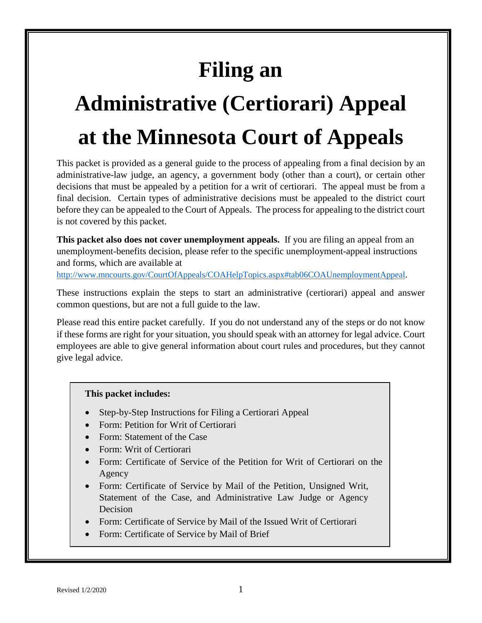# **Filing an**

# **Administrative (Certiorari) Appeal at the Minnesota Court of Appeals**

This packet is provided as a general guide to the process of appealing from a final decision by an administrative-law judge, an agency, a government body (other than a court), or certain other decisions that must be appealed by a petition for a writ of certiorari. The appeal must be from a final decision. Certain types of administrative decisions must be appealed to the district court before they can be appealed to the Court of Appeals. The process for appealing to the district court is not covered by this packet.

**This packet also does not cover unemployment appeals.** If you are filing an appeal from an unemployment-benefits decision, please refer to the specific unemployment-appeal instructions and forms, which are available at

[http://www.mncourts.gov/CourtOfAppeals/COAHelpTopics.aspx#tab06COAUnemploymentAppeal.](http://www.mncourts.gov/CourtOfAppeals/COAHelpTopics.aspx#tab06COAUnemploymentAppeal)

These instructions explain the steps to start an administrative (certiorari) appeal and answer common questions, but are not a full guide to the law.

Please read this entire packet carefully. If you do not understand any of the steps or do not know if these forms are right for your situation, you should speak with an attorney for legal advice. Court employees are able to give general information about court rules and procedures, but they cannot give legal advice.

#### **This packet includes:**

- Step-by-Step Instructions for Filing a Certiorari Appeal
- Form: Petition for Writ of Certiorari
- Form: Statement of the Case
- Form: Writ of Certiorari
- Form: Certificate of Service of the Petition for Writ of Certiorari on the Agency
- Form: Certificate of Service by Mail of the Petition, Unsigned Writ, Statement of the Case, and Administrative Law Judge or Agency Decision
- Form: Certificate of Service by Mail of the Issued Writ of Certiorari
- Form: Certificate of Service by Mail of Brief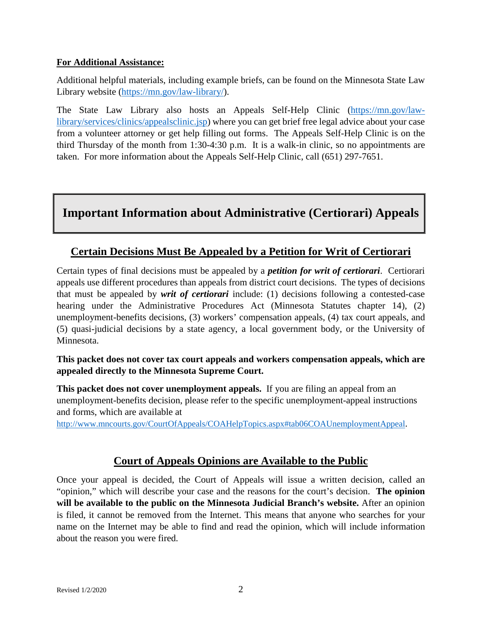#### **For Additional Assistance:**

Additional helpful materials, including example briefs, can be found on the Minnesota State Law Library website [\(https://mn.gov/law-library/\)](https://mn.gov/law-library/).

The State Law Library also hosts an Appeals Self-Help Clinic [\(https://mn.gov/law](https://mn.gov/law-library/services/clinics/appealsclinic.jsp)[library/services/clinics/appealsclinic.jsp\)](https://mn.gov/law-library/services/clinics/appealsclinic.jsp) where you can get brief free legal advice about your case from a volunteer attorney or get help filling out forms. The Appeals Self-Help Clinic is on the third Thursday of the month from 1:30-4:30 p.m. It is a walk-in clinic, so no appointments are taken. For more information about the Appeals Self-Help Clinic, call (651) 297-7651.

### **Important Information about Administrative (Certiorari) Appeals**

#### **Certain Decisions Must Be Appealed by a Petition for Writ of Certiorari**

Certain types of final decisions must be appealed by a *petition for writ of certiorari*. Certiorari appeals use different procedures than appeals from district court decisions. The types of decisions that must be appealed by *writ of certiorari* include: (1) decisions following a contested-case hearing under the Administrative Procedures Act (Minnesota Statutes chapter 14), (2) unemployment-benefits decisions, (3) workers' compensation appeals, (4) tax court appeals, and (5) quasi-judicial decisions by a state agency, a local government body, or the University of Minnesota.

#### **This packet does not cover tax court appeals and workers compensation appeals, which are appealed directly to the Minnesota Supreme Court.**

**This packet does not cover unemployment appeals.** If you are filing an appeal from an unemployment-benefits decision, please refer to the specific unemployment-appeal instructions and forms, which are available at

[http://www.mncourts.gov/CourtOfAppeals/COAHelpTopics.aspx#tab06COAUnemploymentAppeal.](http://www.mncourts.gov/CourtOfAppeals/COAHelpTopics.aspx#tab06COAUnemploymentAppeal)

#### **Court of Appeals Opinions are Available to the Public**

Once your appeal is decided, the Court of Appeals will issue a written decision, called an "opinion," which will describe your case and the reasons for the court's decision. **The opinion will be available to the public on the Minnesota Judicial Branch's website.** After an opinion is filed, it cannot be removed from the Internet. This means that anyone who searches for your name on the Internet may be able to find and read the opinion, which will include information about the reason you were fired.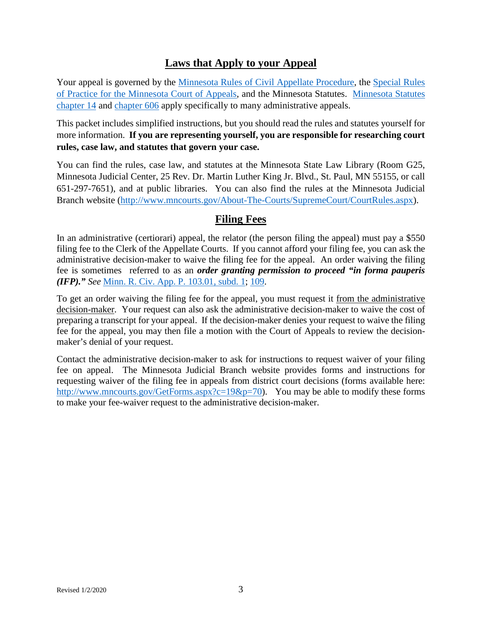#### **Laws that Apply to your Appeal**

Your appeal is governed by the [Minnesota Rules of Civil Appellate Procedure,](https://www.revisor.mn.gov/court_rules/ap/) the [Special Rules](http://www.mncourts.gov/mncourtsgov/media/Appellate/Court%20of%20Appeals/Special_Rules_of_Practice_COA.pdf)  [of Practice for the Minnesota Court of Appeals,](http://www.mncourts.gov/mncourtsgov/media/Appellate/Court%20of%20Appeals/Special_Rules_of_Practice_COA.pdf) and the Minnesota Statutes. [Minnesota Statutes](https://www.revisor.mn.gov/statutes/cite/14) [chapter 14](https://www.revisor.mn.gov/statutes/cite/14) and [chapter 606](https://www.revisor.mn.gov/statutes/cite/606) apply specifically to many administrative appeals.

This packet includes simplified instructions, but you should read the rules and statutes yourself for more information. **If you are representing yourself, you are responsible for researching court rules, case law, and statutes that govern your case.**

You can find the rules, case law, and statutes at the Minnesota State Law Library (Room G25, Minnesota Judicial Center, 25 Rev. Dr. Martin Luther King Jr. Blvd., St. Paul, MN 55155, or call 651-297-7651), and at public libraries. You can also find the rules at the Minnesota Judicial Branch website [\(http://www.mncourts.gov/About-The-Courts/SupremeCourt/CourtRules.aspx\)](http://www.mncourts.gov/About-The-Courts/SupremeCourt/CourtRules.aspx).

#### **Filing Fees**

In an administrative (certiorari) appeal, the relator (the person filing the appeal) must pay a \$550 filing fee to the Clerk of the Appellate Courts. If you cannot afford your filing fee, you can ask the administrative decision-maker to waive the filing fee for the appeal. An order waiving the filing fee is sometimes referred to as an *order granting permission to proceed "in forma pauperis (IFP)." See* [Minn. R. Civ.](https://www.revisor.mn.gov/court_rules/ap/subtype/rcap/id/103/#103.01) App. P. 103.01, subd. 1; [109.](https://www.revisor.mn.gov/court_rules/ap/subtype/rcap/id/109/)

To get an order waiving the filing fee for the appeal, you must request it from the administrative decision-maker. Your request can also ask the administrative decision-maker to waive the cost of preparing a transcript for your appeal. If the decision-maker denies your request to waive the filing fee for the appeal, you may then file a motion with the Court of Appeals to review the decisionmaker's denial of your request.

Contact the administrative decision-maker to ask for instructions to request waiver of your filing fee on appeal. The Minnesota Judicial Branch website provides forms and instructions for requesting waiver of the filing fee in appeals from district court decisions (forms available here: [http://www.mncourts.gov/GetForms.aspx?c=19&p=70\)](http://www.mncourts.gov/GetForms.aspx?c=19&p=70). You may be able to modify these forms to make your fee-waiver request to the administrative decision-maker.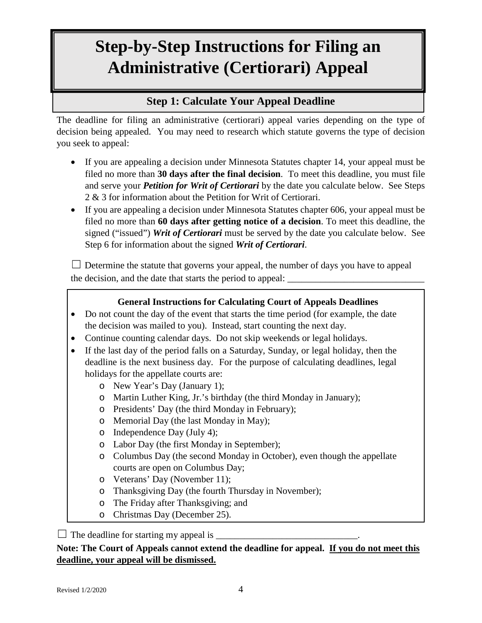## **Step-by-Step Instructions for Filing an Administrative (Certiorari) Appeal**

#### **Step 1: Calculate Your Appeal Deadline**

The deadline for filing an administrative (certiorari) appeal varies depending on the type of decision being appealed. You may need to research which statute governs the type of decision you seek to appeal:

- If you are appealing a decision under Minnesota Statutes chapter 14, your appeal must be filed no more than **30 days after the final decision**. To meet this deadline, you must file and serve your *Petition for Writ of Certiorari* by the date you calculate below. See Steps 2 & 3 for information about the Petition for Writ of Certiorari.
- If you are appealing a decision under Minnesota Statutes chapter 606, your appeal must be filed no more than **60 days after getting notice of a decision**. To meet this deadline, the signed ("issued") *Writ of Certiorari* must be served by the date you calculate below. See Step 6 for information about the signed *Writ of Certiorari*.

 $\Box$  Determine the statute that governs your appeal, the number of days you have to appeal the decision, and the date that starts the period to appeal:

#### **General Instructions for Calculating Court of Appeals Deadlines**

- Do not count the day of the event that starts the time period (for example, the date the decision was mailed to you). Instead, start counting the next day.
- Continue counting calendar days. Do not skip weekends or legal holidays.
- If the last day of the period falls on a Saturday, Sunday, or legal holiday, then the deadline is the next business day. For the purpose of calculating deadlines, legal holidays for the appellate courts are:
	- o New Year's Day (January 1);
	- o Martin Luther King, Jr.'s birthday (the third Monday in January);
	- o Presidents' Day (the third Monday in February);
	- o Memorial Day (the last Monday in May);
	- o Independence Day (July 4);
	- o Labor Day (the first Monday in September);
	- o Columbus Day (the second Monday in October), even though the appellate courts are open on Columbus Day;
	- o Veterans' Day (November 11);
	- o Thanksgiving Day (the fourth Thursday in November);
	- o The Friday after Thanksgiving; and
	- o Christmas Day (December 25).

 $\Box$  The deadline for starting my appeal is  $\Box$ 

#### **Note: The Court of Appeals cannot extend the deadline for appeal. If you do not meet this deadline, your appeal will be dismissed.**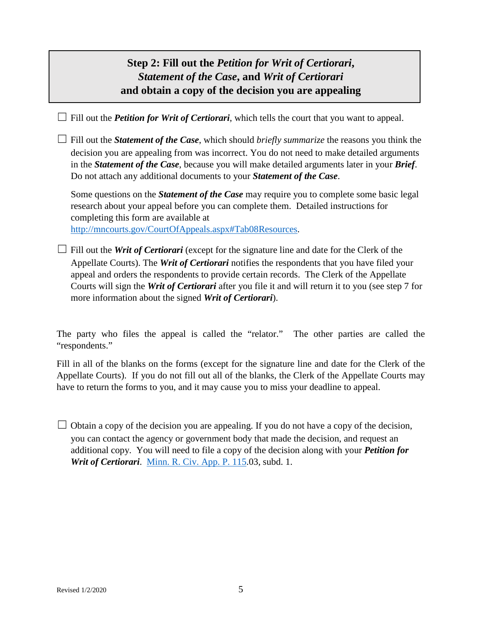### **Step 2: Fill out the** *Petition for Writ of Certiorari***,**  *Statement of the Case***, and** *Writ of Certiorari* **and obtain a copy of the decision you are appealing**

 $\Box$  Fill out the *Petition for Writ of Certiorari*, which tells the court that you want to appeal.

 $\Box$  Fill out the *Statement of the Case*, which should *briefly summarize* the reasons you think the decision you are appealing from was incorrect. You do not need to make detailed arguments in the *Statement of the Case*, because you will make detailed arguments later in your *Brief*. Do not attach any additional documents to your *Statement of the Case*.

Some questions on the *Statement of the Case* may require you to complete some basic legal research about your appeal before you can complete them. Detailed instructions for completing this form are available at http://mncourts.gov/CourtOfAppeals.aspx#Tab08Resources.

 $\Box$  Fill out the *Writ of Certiorari* (except for the signature line and date for the Clerk of the Appellate Courts). The *Writ of Certiorari* notifies the respondents that you have filed your appeal and orders the respondents to provide certain records. The Clerk of the Appellate Courts will sign the *Writ of Certiorari* after you file it and will return it to you (see step 7 for

more information about the signed *Writ of Certiorari*).

The party who files the appeal is called the "relator." The other parties are called the "respondents."

Fill in all of the blanks on the forms (except for the signature line and date for the Clerk of the Appellate Courts). If you do not fill out all of the blanks, the Clerk of the Appellate Courts may have to return the forms to you, and it may cause you to miss your deadline to appeal.

 $\Box$  Obtain a copy of the decision you are appealing. If you do not have a copy of the decision, you can contact the agency or government body that made the decision, and request an additional copy. You will need to file a copy of the decision along with your *Petition for Writ of Certiorari*. [Minn. R. Civ. App. P. 115.](https://www.revisor.mn.gov/court_rules/ap/subtype/rcap/id/115/)03, subd. 1.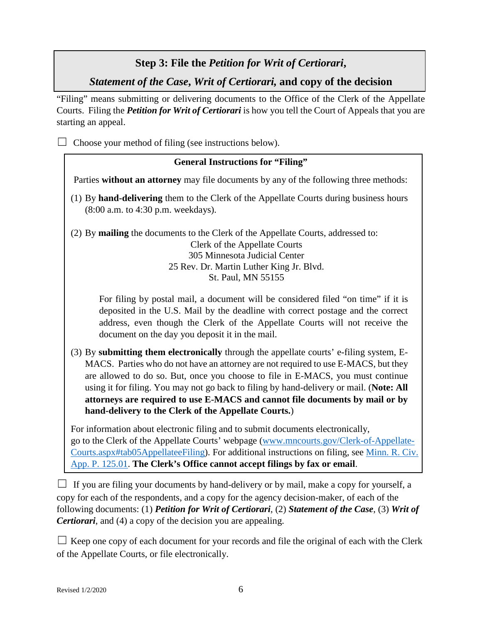#### **Step 3: File the** *Petition for Writ of Certiorari***,**

*Statement of the Case***,** *Writ of Certiorari,* **and copy of the decision**

"Filing" means submitting or delivering documents to the Office of the Clerk of the Appellate Courts. Filing the *Petition for Writ of Certiorari* is how you tell the Court of Appeals that you are starting an appeal.

 $\Box$  Choose your method of filing (see instructions below).

#### **General Instructions for "Filing"**

Parties **without an attorney** may file documents by any of the following three methods:

(1) By **hand-delivering** them to the Clerk of the Appellate Courts during business hours (8:00 a.m. to 4:30 p.m. weekdays).

(2) By **mailing** the documents to the Clerk of the Appellate Courts, addressed to: Clerk of the Appellate Courts 305 Minnesota Judicial Center 25 Rev. Dr. Martin Luther King Jr. Blvd. St. Paul, MN 55155

For filing by postal mail, a document will be considered filed "on time" if it is deposited in the U.S. Mail by the deadline with correct postage and the correct address, even though the Clerk of the Appellate Courts will not receive the document on the day you deposit it in the mail.

(3) By **submitting them electronically** through the appellate courts' e-filing system, E-MACS. Parties who do not have an attorney are not required to use E-MACS, but they are allowed to do so. But, once you choose to file in E-MACS, you must continue using it for filing. You may not go back to filing by hand-delivery or mail. (**Note: All attorneys are required to use E-MACS and cannot file documents by mail or by hand-delivery to the Clerk of the Appellate Courts.**)

For information about electronic filing and to submit documents electronically, go to the Clerk of the Appellate Courts' webpage [\(www.mncourts.gov/Clerk-of-Appellate-](http://www.mncourts.gov/Clerk-of-Appellate-Courts.aspx#tab05AppellateeFiling)[Courts.aspx#tab05AppellateeFiling\)](http://www.mncourts.gov/Clerk-of-Appellate-Courts.aspx#tab05AppellateeFiling). For additional instructions on filing, see [Minn. R. Civ.](https://www.revisor.mn.gov/court_rules/ap/subtype/rcap/id/125/#125.01)  [App. P. 125.01.](https://www.revisor.mn.gov/court_rules/ap/subtype/rcap/id/125/#125.01) **The Clerk's Office cannot accept filings by fax or email**.

 $\Box$  If you are filing your documents by hand-delivery or by mail, make a copy for yourself, a copy for each of the respondents, and a copy for the agency decision-maker, of each of the following documents: (1) *Petition for Writ of Certiorari*, (2) *Statement of the Case*, (3) *Writ of Certiorari*, and (4) a copy of the decision you are appealing.

 $\Box$  Keep one copy of each document for your records and file the original of each with the Clerk of the Appellate Courts, or file electronically.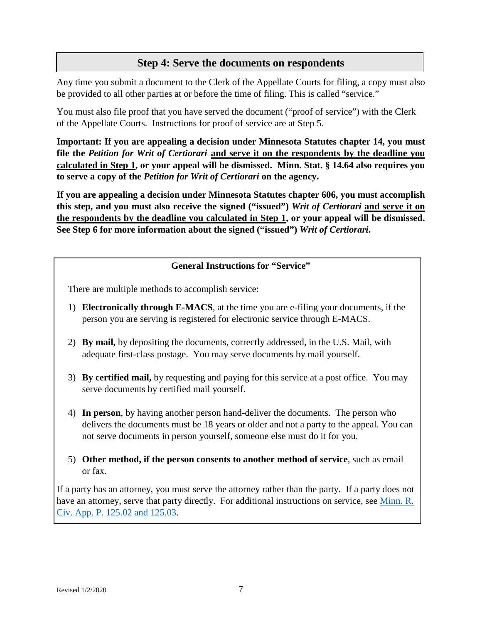#### **Step 4: Serve the documents on respondents**

Any time you submit a document to the Clerk of the Appellate Courts for filing, a copy must also be provided to all other parties at or before the time of filing. This is called "service."

You must also file proof that you have served the document ("proof of service") with the Clerk of the Appellate Courts. Instructions for proof of service are at Step 5.

**Important: If you are appealing a decision under Minnesota Statutes chapter 14, you must file the** *Petition for Writ of Certiorari* **and serve it on the respondents by the deadline you calculated in Step 1, or your appeal will be dismissed. Minn. Stat. § 14.64 also requires you to serve a copy of the** *Petition for Writ of Certiorari* **on the agency.** 

**If you are appealing a decision under Minnesota Statutes chapter 606, you must accomplish this step, and you must also receive the signed ("issued")** *Writ of Certiorari* **and serve it on the respondents by the deadline you calculated in Step 1, or your appeal will be dismissed. See Step 6 for more information about the signed ("issued")** *Writ of Certiorari***.** 

#### **General Instructions for "Service"**

There are multiple methods to accomplish service:

- 1) **Electronically through E-MACS**, at the time you are e-filing your documents, if the person you are serving is registered for electronic service through E-MACS.
- 2) **By mail,** by depositing the documents, correctly addressed, in the U.S. Mail, with adequate first-class postage. You may serve documents by mail yourself.
- 3) **By certified mail,** by requesting and paying for this service at a post office. You may serve documents by certified mail yourself.
- 4) **In person**, by having another person hand-deliver the documents. The person who delivers the documents must be 18 years or older and not a party to the appeal. You can not serve documents in person yourself, someone else must do it for you.
- 5) **Other method, if the person consents to another method of service**, such as email or fax.

If a party has an attorney, you must serve the attorney rather than the party. If a party does not have an attorney, serve that party directly. For additional instructions on service, see Minn. R. [Civ. App. P. 125.02 and 125.03.](https://www.revisor.mn.gov/court_rules/ap/subtype/rcap/id/125/#125.02)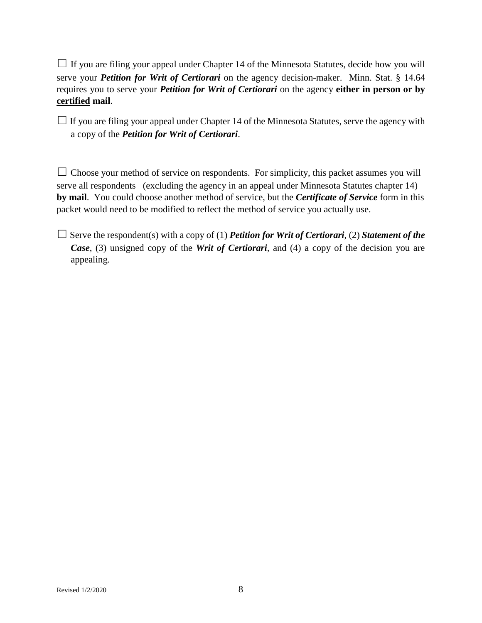$\Box$  If you are filing your appeal under Chapter 14 of the Minnesota Statutes, decide how you will serve your *Petition for Writ of Certiorari* on the agency decision-maker. Minn. Stat. § 14.64 requires you to serve your *Petition for Writ of Certiorari* on the agency **either in person or by certified mail**.

 $\Box$  If you are filing your appeal under Chapter 14 of the Minnesota Statutes, serve the agency with a copy of the *Petition for Writ of Certiorari*.

 $\Box$  Choose your method of service on respondents. For simplicity, this packet assumes you will serve all respondents (excluding the agency in an appeal under Minnesota Statutes chapter 14) **by mail**. You could choose another method of service, but the *Certificate of Service* form in this packet would need to be modified to reflect the method of service you actually use.

 $\Box$  Serve the respondent(s) with a copy of (1) *Petition for Writ of Certiorari*, (2) *Statement of the Case*, (3) unsigned copy of the *Writ of Certiorari*, and (4) a copy of the decision you are appealing.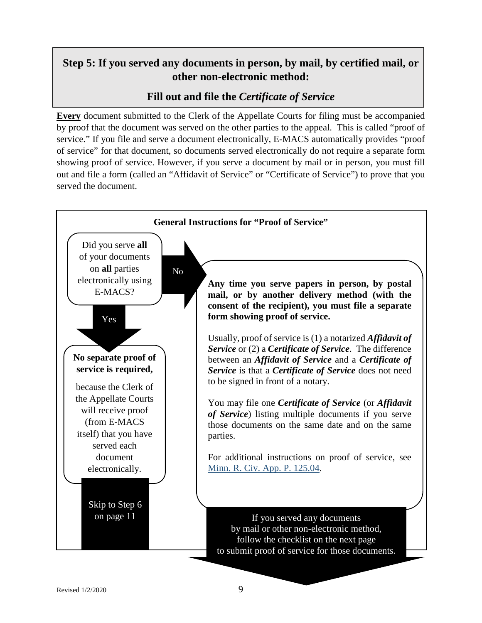### **Step 5: If you served any documents in person, by mail, by certified mail, or other non-electronic method:**

#### **Fill out and file the** *Certificate of Service*

**Every** document submitted to the Clerk of the Appellate Courts for filing must be accompanied by proof that the document was served on the other parties to the appeal. This is called "proof of service." If you file and serve a document electronically, E-MACS automatically provides "proof of service" for that document, so documents served electronically do not require a separate form showing proof of service. However, if you serve a document by mail or in person, you must fill out and file a form (called an "Affidavit of Service" or "Certificate of Service") to prove that you served the document.

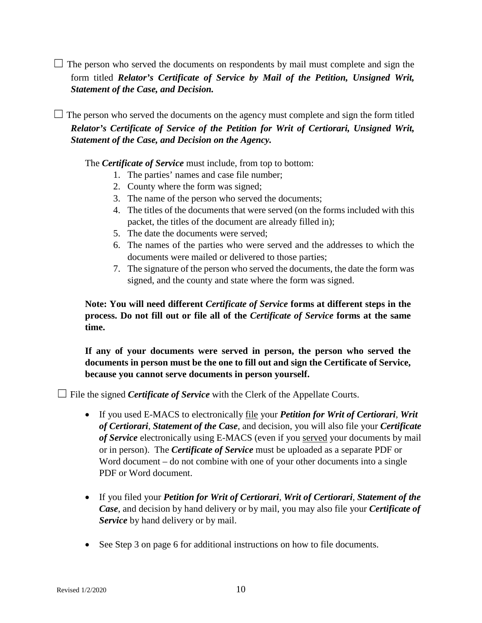$\Box$  The person who served the documents on respondents by mail must complete and sign the form titled *Relator's Certificate of Service by Mail of the Petition, Unsigned Writ, Statement of the Case, and Decision.*

 $\Box$  The person who served the documents on the agency must complete and sign the form titled *Relator's Certificate of Service of the Petition for Writ of Certiorari, Unsigned Writ, Statement of the Case, and Decision on the Agency.* 

The *Certificate of Service* must include, from top to bottom:

- 1. The parties' names and case file number;
- 2. County where the form was signed;
- 3. The name of the person who served the documents;
- 4. The titles of the documents that were served (on the forms included with this packet, the titles of the document are already filled in);
- 5. The date the documents were served;
- 6. The names of the parties who were served and the addresses to which the documents were mailed or delivered to those parties;
- 7. The signature of the person who served the documents, the date the form was signed, and the county and state where the form was signed.

**Note: You will need different** *Certificate of Service* **forms at different steps in the process. Do not fill out or file all of the** *Certificate of Service* **forms at the same time.**

**If any of your documents were served in person, the person who served the documents in person must be the one to fill out and sign the Certificate of Service, because you cannot serve documents in person yourself.** 

 $\Box$  File the signed *Certificate of Service* with the Clerk of the Appellate Courts.

- If you used E-MACS to electronically file your *Petition for Writ of Certiorari*, *Writ of Certiorari*, *Statement of the Case*, and decision, you will also file your *Certificate of Service* electronically using E-MACS (even if you served your documents by mail or in person). The *Certificate of Service* must be uploaded as a separate PDF or Word document – do not combine with one of your other documents into a single PDF or Word document.
- If you filed your *Petition for Writ of Certiorari*, *Writ of Certiorari*, *Statement of the Case*, and decision by hand delivery or by mail, you may also file your *Certificate of Service* by hand delivery or by mail.
- See Step 3 on page 6 for additional instructions on how to file documents.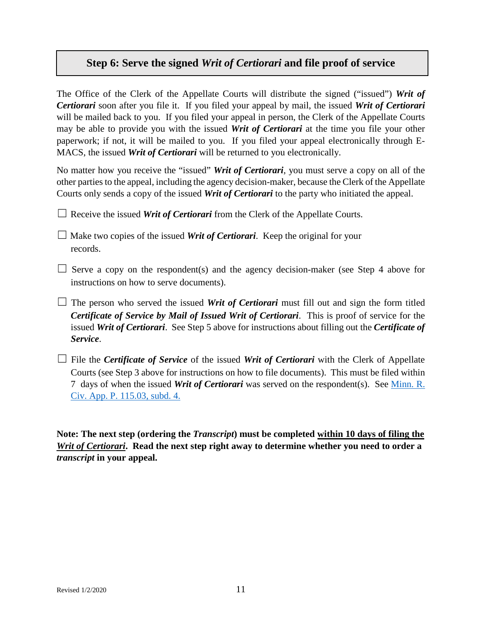#### **Step 6: Serve the signed** *Writ of Certiorari* **and file proof of service**

The Office of the Clerk of the Appellate Courts will distribute the signed ("issued") *Writ of Certiorari* soon after you file it. If you filed your appeal by mail, the issued *Writ of Certiorari* will be mailed back to you. If you filed your appeal in person, the Clerk of the Appellate Courts may be able to provide you with the issued *Writ of Certiorari* at the time you file your other paperwork; if not, it will be mailed to you. If you filed your appeal electronically through E-MACS, the issued *Writ of Certiorari* will be returned to you electronically.

No matter how you receive the "issued" *Writ of Certiorari*, you must serve a copy on all of the other parties to the appeal, including the agency decision-maker, because the Clerk of the Appellate Courts only sends a copy of the issued *Writ of Certiorari* to the party who initiated the appeal.

 $\Box$  Receive the issued *Writ of Certiorari* from the Clerk of the Appellate Courts.

 $\Box$  Make two copies of the issued *Writ of Certiorari*. Keep the original for your records.

- $\Box$  Serve a copy on the respondent(s) and the agency decision-maker (see Step 4 above for instructions on how to serve documents).
- $\Box$  The person who served the issued *Writ of Certiorari* must fill out and sign the form titled *Certificate of Service by Mail of Issued Writ of Certiorari*. This is proof of service for the issued *Writ of Certiorari*. See Step 5 above for instructions about filling out the *Certificate of Service*.
- □ File the *Certificate of Service* of the issued *Writ of Certiorari* with the Clerk of Appellate Courts (see Step 3 above for instructions on how to file documents). This must be filed within 7 days of when the issued *Writ of Certiorari* was served on the respondent(s). See [Minn. R.](https://www.revisor.mn.gov/court_rules/ap/subtype/rcap/id/115/#115.03)  [Civ. App. P. 115.03, subd. 4.](https://www.revisor.mn.gov/court_rules/ap/subtype/rcap/id/115/#115.03)

**Note: The next step (ordering the** *Transcript***) must be completed within 10 days of filing the**  *Writ of Certiorari***. Read the next step right away to determine whether you need to order a**  *transcript* **in your appeal.**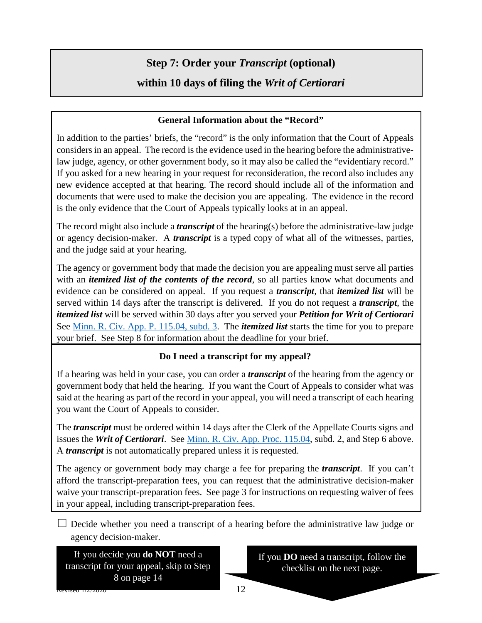### **Step 7: Order your** *Transcript* **(optional)**

### **within 10 days of filing the** *Writ of Certiorari*

#### **General Information about the "Record"**

In addition to the parties' briefs, the "record" is the only information that the Court of Appeals considers in an appeal. The record is the evidence used in the hearing before the administrativelaw judge, agency, or other government body, so it may also be called the "evidentiary record." If you asked for a new hearing in your request for reconsideration, the record also includes any new evidence accepted at that hearing. The record should include all of the information and documents that were used to make the decision you are appealing. The evidence in the record is the only evidence that the Court of Appeals typically looks at in an appeal.

The record might also include a *transcript* of the hearing(s) before the administrative-law judge or agency decision-maker. A *transcript* is a typed copy of what all of the witnesses, parties, and the judge said at your hearing.

The agency or government body that made the decision you are appealing must serve all parties with an *itemized list of the contents of the record*, so all parties know what documents and evidence can be considered on appeal. If you request a *transcript*, that *itemized list* will be served within 14 days after the transcript is delivered. If you do not request a *transcript*, the *itemized list* will be served within 30 days after you served your *Petition for Writ of Certiorari* See [Minn. R. Civ. App. P. 115.04, subd. 3.](https://www.revisor.mn.gov/court_rules/ap/subtype/rcap/id/115/#115.04) The *itemized list* starts the time for you to prepare your brief. See Step 8 for information about the deadline for your brief.

#### **Do I need a transcript for my appeal?**

If a hearing was held in your case, you can order a *transcript* of the hearing from the agency or government body that held the hearing. If you want the Court of Appeals to consider what was said at the hearing as part of the record in your appeal, you will need a transcript of each hearing you want the Court of Appeals to consider.

The *transcript* must be ordered within 14 days after the Clerk of the Appellate Courts signs and issues the *Writ of Certiorari*. See [Minn. R. Civ. App. Proc. 115.04,](https://www.revisor.mn.gov/court_rules/ap/subtype/rcap/id/115/#115.04) subd. 2, and Step 6 above. A *transcript* is not automatically prepared unless it is requested.

The agency or government body may charge a fee for preparing the *transcript*. If you can't afford the transcript-preparation fees, you can request that the administrative decision-maker waive your transcript-preparation fees. See page 3 for instructions on requesting waiver of fees in your appeal, including transcript-preparation fees.

 $\Box$  Decide whether you need a transcript of a hearing before the administrative law judge or agency decision-maker.

If you decide you **do NOT** need a transcript for your appeal, skip to Step 8 on page 14

If you **DO** need a transcript, follow the checklist on the next page.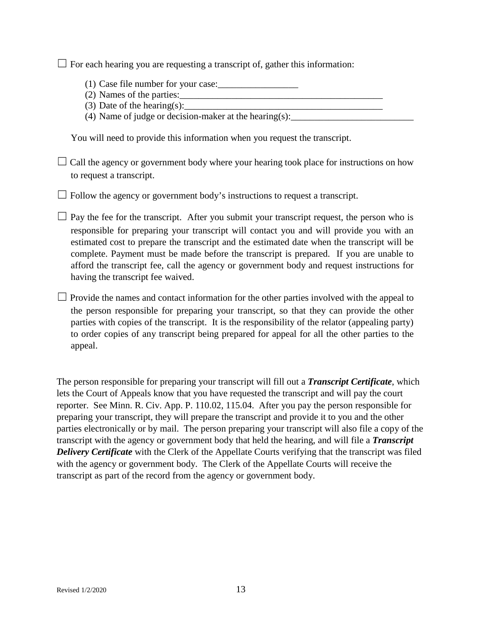$\Box$  For each hearing you are requesting a transcript of, gather this information:

- (1) Case file number for your case:
- $(2)$  Names of the parties:
- (3) Date of the hearing(s):
- (4) Name of judge or decision-maker at the hearing(s):

You will need to provide this information when you request the transcript.

 $\Box$  Call the agency or government body where your hearing took place for instructions on how to request a transcript.

 $\Box$  Follow the agency or government body's instructions to request a transcript.

 $\Box$  Pay the fee for the transcript. After you submit your transcript request, the person who is responsible for preparing your transcript will contact you and will provide you with an estimated cost to prepare the transcript and the estimated date when the transcript will be complete. Payment must be made before the transcript is prepared. If you are unable to afford the transcript fee, call the agency or government body and request instructions for having the transcript fee waived.

 $\Box$  Provide the names and contact information for the other parties involved with the appeal to the person responsible for preparing your transcript, so that they can provide the other parties with copies of the transcript. It is the responsibility of the relator (appealing party) to order copies of any transcript being prepared for appeal for all the other parties to the appeal.

The person responsible for preparing your transcript will fill out a *Transcript Certificate*, which lets the Court of Appeals know that you have requested the transcript and will pay the court reporter. See Minn. R. Civ. App. P. 110.02, 115.04. After you pay the person responsible for preparing your transcript, they will prepare the transcript and provide it to you and the other parties electronically or by mail. The person preparing your transcript will also file a copy of the transcript with the agency or government body that held the hearing, and will file a *Transcript Delivery Certificate* with the Clerk of the Appellate Courts verifying that the transcript was filed with the agency or government body. The Clerk of the Appellate Courts will receive the transcript as part of the record from the agency or government body.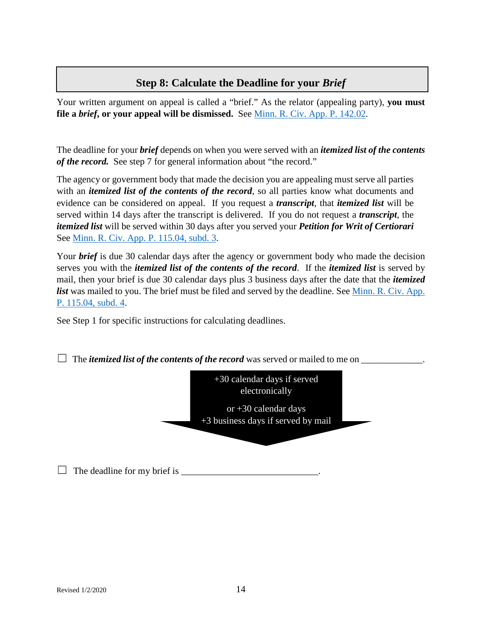#### **Step 8: Calculate the Deadline for your** *Brief*

Your written argument on appeal is called a "brief." As the relator (appealing party), **you must file a** *brief***, or your appeal will be dismissed.** See [Minn. R. Civ. App. P. 142.02.](https://www.revisor.mn.gov/court_rules/ap/subtype/rcap/id/142/#142.02)

The deadline for your *brief* depends on when you were served with an *itemized list of the contents of the record.* See step 7 for general information about "the record."

The agency or government body that made the decision you are appealing must serve all parties with an *itemized list of the contents of the record*, so all parties know what documents and evidence can be considered on appeal. If you request a *transcript*, that *itemized list* will be served within 14 days after the transcript is delivered. If you do not request a *transcript*, the *itemized list* will be served within 30 days after you served your *Petition for Writ of Certiorari* See Minn. R. Civ. App. P. 115.04, [subd.](https://www.revisor.mn.gov/court_rules/ap/subtype/rcap/id/115/#115.04) 3.

Your *brief* is due 30 calendar days after the agency or government body who made the decision serves you with the *itemized list of the contents of the record*. If the *itemized list* is served by mail, then your brief is due 30 calendar days plus 3 business days after the date that the *itemized list* was mailed to you. The brief must be filed and served by the deadline. See [Minn. R. Civ. App.](https://www.revisor.mn.gov/court_rules/ap/subtype/rcap/id/115/#115.04)  [P. 115.04, subd. 4.](https://www.revisor.mn.gov/court_rules/ap/subtype/rcap/id/115/#115.04)

See Step 1 for specific instructions for calculating deadlines.

 $\Box$  The *itemized list of the contents of the record* was served or mailed to me on  $\Box$ 

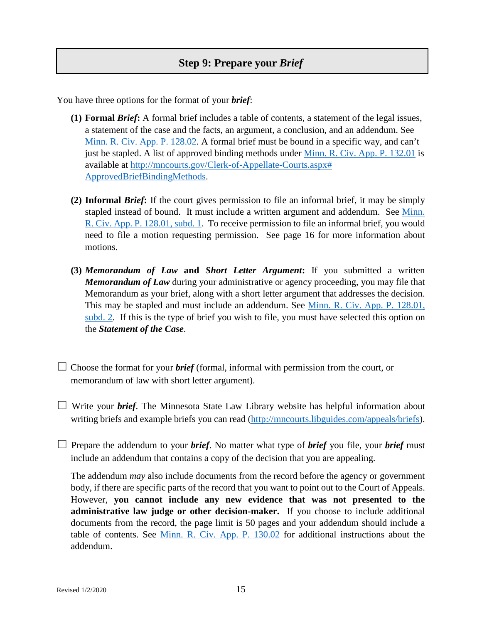You have three options for the format of your *brief*:

- **(1) Formal** *Brief***:** A formal brief includes a table of contents, a statement of the legal issues, a statement of the case and the facts, an argument, a conclusion, and an addendum. See [Minn. R. Civ. App. P. 128.02.](https://www.revisor.mn.gov/court_rules/ap/subtype/rcap/id/128/#128.02) A formal brief must be bound in a specific way, and can't just be stapled. A list of approved binding methods under [Minn. R. Civ. App. P. 132.01](https://www.revisor.mn.gov/court_rules/ap/subtype/rcap/id/132/#132.01) is available at [http://mncourts.gov/Clerk-of-Appellate-Courts.aspx#](http://mncourts.gov/Clerk-of-Appellate-Courts.aspx#%20ApprovedBriefBindingMethods)  [ApprovedBriefBindingMethods.](http://mncourts.gov/Clerk-of-Appellate-Courts.aspx#%20ApprovedBriefBindingMethods)
- **(2) Informal** *Brief***:** If the court gives permission to file an informal brief, it may be simply stapled instead of bound. It must include a written argument and addendum. See [Minn.](https://www.revisor.mn.gov/court_rules/ap/subtype/rcap/id/128/#128.01)  [R. Civ. App. P. 128.01, subd. 1.](https://www.revisor.mn.gov/court_rules/ap/subtype/rcap/id/128/#128.01) To receive permission to file an informal brief, you would need to file a motion requesting permission. See page 16 for more information about motions.
- **(3)** *Memorandum of Law* **and** *Short Letter Argument***:** If you submitted a written *Memorandum of Law* during your administrative or agency proceeding, you may file that Memorandum as your brief, along with a short letter argument that addresses the decision. This may be stapled and must include an addendum. See Minn. R. Civ. App. P. 128.01, [subd. 2.](https://www.revisor.mn.gov/court_rules/ap/subtype/rcap/id/128/#128.01) If this is the type of brief you wish to file, you must have selected this option on the *Statement of the Case*.
- $\Box$  Choose the format for your *brief* (formal, informal with permission from the court, or memorandum of law with short letter argument).
- ☐ Write your *brief*. The Minnesota State Law Library website has helpful information about writing briefs and example briefs you can read [\(http://mncourts.libguides.com/appeals/briefs\)](http://mncourts.libguides.com/appeals/briefs).
- $\Box$  Prepare the addendum to your *brief*. No matter what type of *brief* you file, your *brief* must include an addendum that contains a copy of the decision that you are appealing.

The addendum *may* also include documents from the record before the agency or government body, if there are specific parts of the record that you want to point out to the Court of Appeals. However, **you cannot include any new evidence that was not presented to the administrative law judge or other decision-maker.** If you choose to include additional documents from the record, the page limit is 50 pages and your addendum should include a table of contents. See [Minn. R. Civ. App. P. 130.02](https://www.revisor.mn.gov/court_rules/ap/subtype/rcap/id/130/#130.02) for additional instructions about the addendum.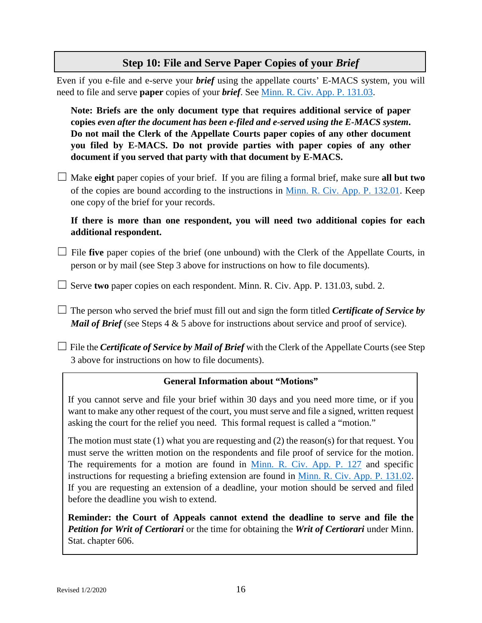#### **Step 10: File and Serve Paper Copies of your** *Brief*

Even if you e-file and e-serve your *brief* using the appellate courts' E-MACS system, you will need to file and serve **paper** copies of your *brief*. See [Minn. R. Civ. App. P. 131.03.](https://www.revisor.mn.gov/court_rules/rule.php?type=ap&subtype=rcap&id=131#Rule_131.03)

**Note: Briefs are the only document type that requires additional service of paper copies** *even after the document has been e-filed and e-served using the E-MACS system***. Do not mail the Clerk of the Appellate Courts paper copies of any other document you filed by E-MACS. Do not provide parties with paper copies of any other document if you served that party with that document by E-MACS.**

☐ Make **eight** paper copies of your brief. If you are filing a formal brief, make sure **all but two** of the copies are bound according to the instructions in [Minn. R. Civ. App. P. 132.01.](https://www.revisor.mn.gov/court_rules/ap/subtype/rcap/id/131/#131.03) Keep one copy of the brief for your records.

**If there is more than one respondent, you will need two additional copies for each additional respondent.**

- □ File **five** paper copies of the brief (one unbound) with the Clerk of the Appellate Courts, in person or by mail (see Step 3 above for instructions on how to file documents).
- ☐ Serve **two** paper copies on each respondent. Minn. R. Civ. App. P. 131.03, subd. 2.
- $\Box$  The person who served the brief must fill out and sign the form titled *Certificate of Service by Mail of Brief* (see Steps 4 & 5 above for instructions about service and proof of service).
- $\Box$  File the *Certificate of Service by Mail of Brief* with the Clerk of the Appellate Courts (see Step 3 above for instructions on how to file documents).

#### **General Information about "Motions"**

If you cannot serve and file your brief within 30 days and you need more time, or if you want to make any other request of the court, you must serve and file a signed, written request asking the court for the relief you need. This formal request is called a "motion."

The motion must state (1) what you are requesting and (2) the reason(s) for that request. You must serve the written motion on the respondents and file proof of service for the motion. The requirements for a motion are found in [Minn. R. Civ. App. P. 127](https://www.revisor.mn.gov/court_rules/ap/subtype/rcap/id/127/) and specific instructions for requesting a briefing extension are found in [Minn. R. Civ. App. P. 131.02.](https://www.revisor.mn.gov/court_rules/ap/subtype/rcap/id/131/#131.02) If you are requesting an extension of a deadline, your motion should be served and filed before the deadline you wish to extend.

**Reminder: the Court of Appeals cannot extend the deadline to serve and file the**  *Petition for Writ of Certiorari* or the time for obtaining the *Writ of Certiorari* under Minn. Stat. chapter 606.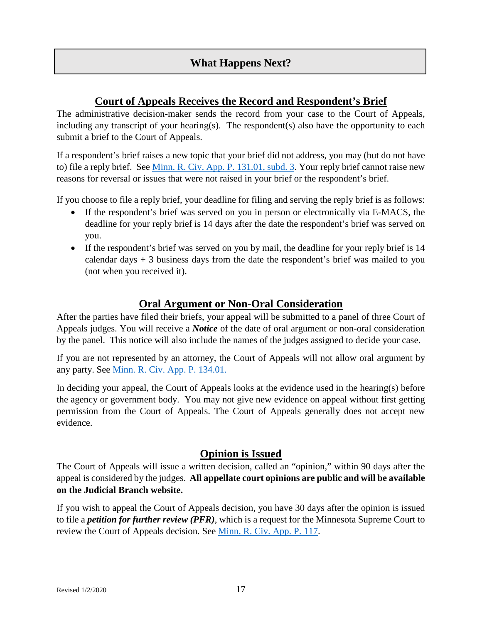#### **What Happens Next?**

#### **Court of Appeals Receives the Record and Respondent's Brief**

The administrative decision-maker sends the record from your case to the Court of Appeals, including any transcript of your hearing(s). The respondent(s) also have the opportunity to each submit a brief to the Court of Appeals.

If a respondent's brief raises a new topic that your brief did not address, you may (but do not have to) file a reply brief. See [Minn. R. Civ. App. P. 131.01, subd. 3.](https://www.revisor.mn.gov/court_rules/ap/subtype/rcap/id/131/#131.01) Your reply brief cannot raise new reasons for reversal or issues that were not raised in your brief or the respondent's brief.

If you choose to file a reply brief, your deadline for filing and serving the reply brief is as follows:

- If the respondent's brief was served on you in person or electronically via E-MACS, the deadline for your reply brief is 14 days after the date the respondent's brief was served on you.
- If the respondent's brief was served on you by mail, the deadline for your reply brief is 14 calendar days  $+3$  business days from the date the respondent's brief was mailed to you (not when you received it).

#### **Oral Argument or Non-Oral Consideration**

After the parties have filed their briefs, your appeal will be submitted to a panel of three Court of Appeals judges. You will receive a *Notice* of the date of oral argument or non-oral consideration by the panel. This notice will also include the names of the judges assigned to decide your case.

If you are not represented by an attorney, the Court of Appeals will not allow oral argument by any party. See [Minn. R. Civ. App. P. 134.01.](https://www.revisor.mn.gov/court_rules/ap/subtype/rcap/id/134/)

In deciding your appeal, the Court of Appeals looks at the evidence used in the hearing(s) before the agency or government body. You may not give new evidence on appeal without first getting permission from the Court of Appeals. The Court of Appeals generally does not accept new evidence.

#### **Opinion is Issued**

The Court of Appeals will issue a written decision, called an "opinion," within 90 days after the appeal is considered by the judges. **All appellate court opinions are public and will be available on the Judicial Branch website.**

If you wish to appeal the Court of Appeals decision, you have 30 days after the opinion is issued to file a *petition for further review (PFR)*, which is a request for the Minnesota Supreme Court to review the Court of Appeals decision. See [Minn. R. Civ. App. P. 117.](https://www.revisor.mn.gov/court_rules/ap/subtype/rcap/id/117/)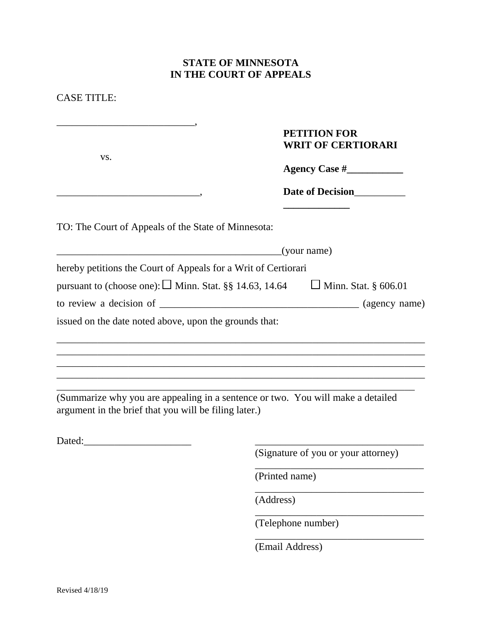| <b>PETITION FOR</b><br><b>WRIT OF CERTIORARI</b><br>VS.<br>Date of Decision<br>(your name)<br><u> 1980 - Jan James James Barnett, amerikan basar personal (h. 1980).</u>                                                                        |  |
|-------------------------------------------------------------------------------------------------------------------------------------------------------------------------------------------------------------------------------------------------|--|
| TO: The Court of Appeals of the State of Minnesota:<br>hereby petitions the Court of Appeals for a Writ of Certiorari<br>pursuant to (choose one): $\Box$ Minn. Stat. §§ 14.63, 14.64 $\Box$ Minn. Stat. § 606.01                               |  |
|                                                                                                                                                                                                                                                 |  |
|                                                                                                                                                                                                                                                 |  |
|                                                                                                                                                                                                                                                 |  |
|                                                                                                                                                                                                                                                 |  |
|                                                                                                                                                                                                                                                 |  |
|                                                                                                                                                                                                                                                 |  |
|                                                                                                                                                                                                                                                 |  |
| issued on the date noted above, upon the grounds that:                                                                                                                                                                                          |  |
|                                                                                                                                                                                                                                                 |  |
| ,我们也不能在这里的时候,我们也不能在这里的时候,我们也不能会在这里的时候,我们也不能会在这里的时候,我们也不能会在这里的时候,我们也不能会在这里的时候,我们也不                                                                                                                                                               |  |
|                                                                                                                                                                                                                                                 |  |
| <u> 1989 - Johann Stein, marwolaethau a bhann an t-Amhain ann an t-Amhain an t-Amhain an t-Amhain an t-Amhain an </u><br><u> 1989 - Johann John Harry Harry Harry Harry Harry Harry Harry Harry Harry Harry Harry Harry Harry Harry Harry H</u> |  |
| (Summarize why you are appealing in a sentence or two. You will make a detailed<br>argument in the brief that you will be filing later.)                                                                                                        |  |
|                                                                                                                                                                                                                                                 |  |
| Dated:<br>(Signature of you or your attorney)                                                                                                                                                                                                   |  |
| (Printed name)                                                                                                                                                                                                                                  |  |
|                                                                                                                                                                                                                                                 |  |
| (Address)                                                                                                                                                                                                                                       |  |

(Email Address)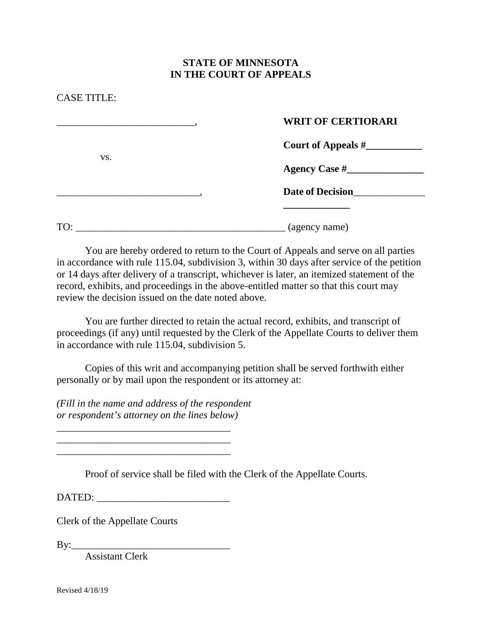#### CASE TITLE:

vs.

#### \_\_\_\_\_\_\_\_\_\_\_\_\_\_\_\_\_\_\_\_\_\_\_\_\_\_\_, **WRIT OF CERTIORARI**

**Court of Appeals #\_\_\_\_\_\_\_\_\_\_\_**

**Agency Case #\_\_\_\_\_\_\_\_\_\_\_\_\_\_\_**

\_\_\_\_\_\_\_\_\_\_\_\_\_\_\_\_\_\_\_\_\_\_\_\_\_\_\_\_, **Date of Decision**\_\_\_\_\_\_\_\_\_\_\_\_\_\_

**\_\_\_\_\_\_\_\_\_\_\_\_\_**

| $\mathbf{m}$<br>÷ | $\cdots$ $\cdots$<br>-------<br>__ |
|-------------------|------------------------------------|
|                   | . .                                |

You are hereby ordered to return to the Court of Appeals and serve on all parties in accordance with rule 115.04, subdivision 3, within 30 days after service of the petition or 14 days after delivery of a transcript, whichever is later, an itemized statement of the record, exhibits, and proceedings in the above-entitled matter so that this court may review the decision issued on the date noted above.

You are further directed to retain the actual record, exhibits, and transcript of proceedings (if any) until requested by the Clerk of the Appellate Courts to deliver them in accordance with rule 115.04, subdivision 5.

Copies of this writ and accompanying petition shall be served forthwith either personally or by mail upon the respondent or its attorney at:

*(Fill in the name and address of the respondent or respondent's attorney on the lines below)*

Proof of service shall be filed with the Clerk of the Appellate Courts.

DATED:

\_\_\_\_\_\_\_\_\_\_\_\_\_\_\_\_\_\_\_\_\_\_\_\_\_\_\_\_\_\_\_\_\_\_ \_\_\_\_\_\_\_\_\_\_\_\_\_\_\_\_\_\_\_\_\_\_\_\_\_\_\_\_\_\_\_\_\_\_ \_\_\_\_\_\_\_\_\_\_\_\_\_\_\_\_\_\_\_\_\_\_\_\_\_\_\_\_\_\_\_\_\_\_

Clerk of the Appellate Courts

 $By:$ 

Assistant Clerk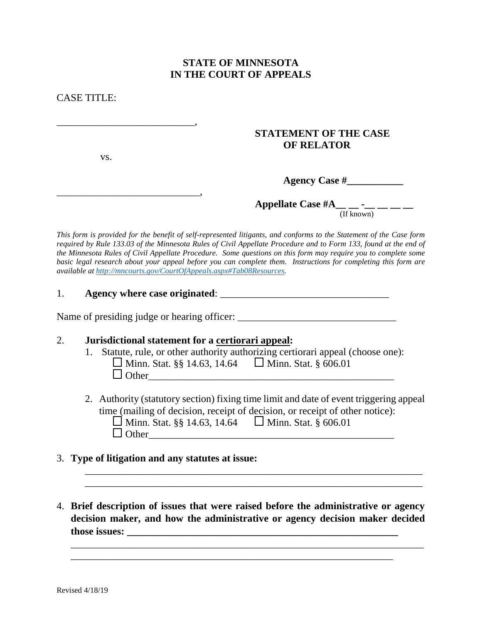CASE TITLE:

#### **STATEMENT OF THE CASE OF RELATOR**

vs.

\_\_\_\_\_\_\_\_\_\_\_\_\_\_\_\_\_\_\_\_\_\_\_\_\_\_\_,

\_\_\_\_\_\_\_\_\_\_\_\_\_\_\_\_\_\_\_\_\_\_\_\_\_\_\_\_,

#### **Agency Case #\_\_\_\_\_\_\_\_\_\_\_**

**Appellate Case #A\_\_ \_ -\_ \_ \_ \_ \_ \_** 

(If known)

*This form is provided for the benefit of self-represented litigants, and conforms to the Statement of the Case form required by Rule 133.03 of the Minnesota Rules of Civil Appellate Procedure and to Form 133, found at the end of the Minnesota Rules of Civil Appellate Procedure. Some questions on this form may require you to complete some basic legal research about your appeal before you can complete them. Instructions for completing this form are available at http://mncourts.gov/CourtOfAppeals.aspx#Tab08Resources.* 

#### 1. **Agency where case originated**: \_\_\_\_\_\_\_\_\_\_\_\_\_\_\_\_\_\_\_\_\_\_\_\_\_\_\_\_\_\_\_\_\_

Name of presiding judge or hearing officer: \_\_\_\_\_\_\_\_\_\_\_\_\_\_\_\_\_\_\_\_\_\_\_\_\_\_\_\_\_\_\_

#### 2. **Jurisdictional statement for a certiorari appeal:**

- 1. Statute, rule, or other authority authorizing certiorari appeal (choose one):  $\Box$  Minn. Stat. §§ 14.63, 14.64  $\Box$  Minn. Stat. § 606.01 Other\_\_\_\_\_\_\_\_\_\_\_\_\_\_\_\_\_\_\_\_\_\_\_\_\_\_\_\_\_\_\_\_\_\_\_\_\_\_\_\_\_\_\_\_\_\_\_\_
- 2. Authority (statutory section) fixing time limit and date of event triggering appeal time (mailing of decision, receipt of decision, or receipt of other notice):  $\Box$  Minn. Stat. §§ 14.63, 14.64  $\Box$  Minn. Stat. § 606.01 Other\_\_\_\_\_\_\_\_\_\_\_\_\_\_\_\_\_\_\_\_\_\_\_\_\_\_\_\_\_\_\_\_\_\_\_\_\_\_\_\_\_\_\_\_\_\_\_\_

\_\_\_\_\_\_\_\_\_\_\_\_\_\_\_\_\_\_\_\_\_\_\_\_\_\_\_\_\_\_\_\_\_\_\_\_\_\_\_\_\_\_\_\_\_\_\_\_\_\_\_\_\_\_\_\_\_\_\_\_\_\_\_\_\_\_ \_\_\_\_\_\_\_\_\_\_\_\_\_\_\_\_\_\_\_\_\_\_\_\_\_\_\_\_\_\_\_\_\_\_\_\_\_\_\_\_\_\_\_\_\_\_\_\_\_\_\_\_\_\_\_\_\_\_\_\_\_\_\_\_\_\_

- 3. **Type of litigation and any statutes at issue:**
- 4. **Brief description of issues that were raised before the administrative or agency decision maker, and how the administrative or agency decision maker decided those issues: \_\_\_\_\_\_\_\_\_\_\_\_\_\_\_\_\_\_\_\_\_\_\_\_\_\_\_\_\_\_\_\_\_\_\_\_\_\_\_\_\_\_\_\_\_\_\_\_\_\_\_\_\_**

\_\_\_\_\_\_\_\_\_\_\_\_\_\_\_\_\_\_\_\_\_\_\_\_\_\_\_\_\_\_\_\_\_\_\_\_\_\_\_\_\_\_\_\_\_\_\_\_\_\_\_\_\_\_\_\_\_\_\_\_\_\_\_

\_\_\_\_\_\_\_\_\_\_\_\_\_\_\_\_\_\_\_\_\_\_\_\_\_\_\_\_\_\_\_\_\_\_\_\_\_\_\_\_\_\_\_\_\_\_\_\_\_\_\_\_\_\_\_\_\_\_\_\_\_\_\_\_\_\_\_\_\_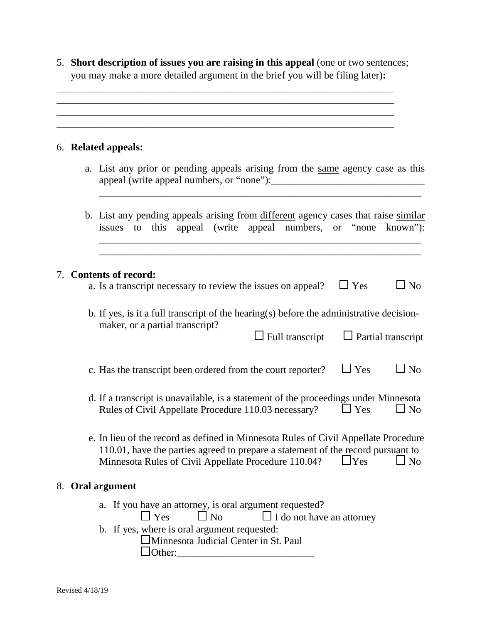5. **Short description of issues you are raising in this appeal** (one or two sentences; you may make a more detailed argument in the brief you will be filing later)**:**

\_\_\_\_\_\_\_\_\_\_\_\_\_\_\_\_\_\_\_\_\_\_\_\_\_\_\_\_\_\_\_\_\_\_\_\_\_\_\_\_\_\_\_\_\_\_\_\_\_\_\_\_\_\_\_\_\_\_\_\_\_\_\_\_\_\_ \_\_\_\_\_\_\_\_\_\_\_\_\_\_\_\_\_\_\_\_\_\_\_\_\_\_\_\_\_\_\_\_\_\_\_\_\_\_\_\_\_\_\_\_\_\_\_\_\_\_\_\_\_\_\_\_\_\_\_\_\_\_\_\_\_\_ \_\_\_\_\_\_\_\_\_\_\_\_\_\_\_\_\_\_\_\_\_\_\_\_\_\_\_\_\_\_\_\_\_\_\_\_\_\_\_\_\_\_\_\_\_\_\_\_\_\_\_\_\_\_\_\_\_\_\_\_\_\_\_\_\_\_ \_\_\_\_\_\_\_\_\_\_\_\_\_\_\_\_\_\_\_\_\_\_\_\_\_\_\_\_\_\_\_\_\_\_\_\_\_\_\_\_\_\_\_\_\_\_\_\_\_\_\_\_\_\_\_\_\_\_\_\_\_\_\_\_\_\_

#### 6. **Related appeals:**

a. List any prior or pending appeals arising from the same agency case as this appeal (write appeal numbers, or "none"):\_\_\_\_\_\_\_\_\_\_\_\_\_\_\_\_\_\_\_\_\_\_\_\_\_\_\_\_\_\_

\_\_\_\_\_\_\_\_\_\_\_\_\_\_\_\_\_\_\_\_\_\_\_\_\_\_\_\_\_\_\_\_\_\_\_\_\_\_\_\_\_\_\_\_\_\_\_\_\_\_\_\_\_\_\_\_\_\_\_\_\_\_\_

b. List any pending appeals arising from different agency cases that raise similar issues to this appeal (write appeal numbers, or "none known"):

\_\_\_\_\_\_\_\_\_\_\_\_\_\_\_\_\_\_\_\_\_\_\_\_\_\_\_\_\_\_\_\_\_\_\_\_\_\_\_\_\_\_\_\_\_\_\_\_\_\_\_\_\_\_\_\_\_\_\_\_\_\_\_ \_\_\_\_\_\_\_\_\_\_\_\_\_\_\_\_\_\_\_\_\_\_\_\_\_\_\_\_\_\_\_\_\_\_\_\_\_\_\_\_\_\_\_\_\_\_\_\_\_\_\_\_\_\_\_\_\_\_\_\_\_\_\_

#### 7. **Contents of record:**

|  | a. Is a transcript necessary to review the issues on appeal? | $\sqcup$ Yes | $\Box$ No |
|--|--------------------------------------------------------------|--------------|-----------|
|  |                                                              |              |           |

b. If yes, is it a full transcript of the hearing(s) before the administrative decisionmaker, or a partial transcript?  $\Box$  Full transcript  $\Box$  Partial transcript

| c. Has the transcript been ordered from the court reporter? | $\Box$ Yes | $\Box$ No |
|-------------------------------------------------------------|------------|-----------|
|                                                             |            |           |

- d. If a transcript is unavailable, is a statement of the proceedings under Minnesota Rules of Civil Appellate Procedure 110.03 necessary?  $\Box$  Yes  $\Box$  No
- e. In lieu of the record as defined in Minnesota Rules of Civil Appellate Procedure 110.01, have the parties agreed to prepare a statement of the record pursuant to Minnesota Rules of Civil Appellate Procedure 110.04?  $\Box$  Yes  $\Box$  No

#### 8. **Oral argument**

- a. If you have an attorney, is oral argument requested?
	- $\Box$  Yes  $\Box$  No  $\Box$  I do not have an attorney
- b. If yes, where is oral argument requested:
	- Minnesota Judicial Center in St. Paul  $\Box$  Other: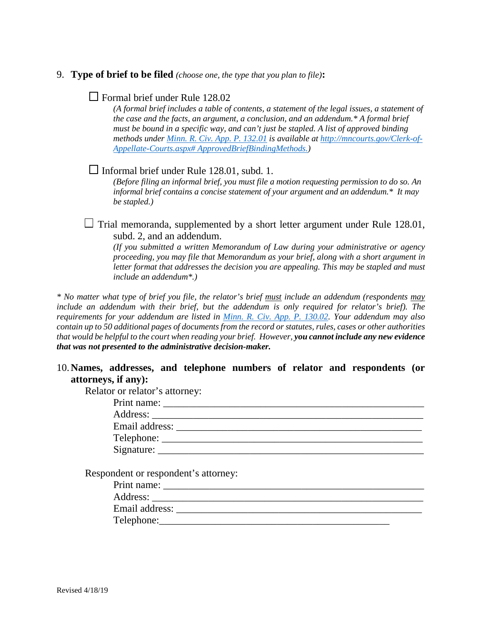#### 9. **Type of brief to be filed** *(choose one, the type that you plan to file)***:**

#### $\Box$  Formal brief under Rule 128.02

*(A formal brief includes a table of contents, a statement of the legal issues, a statement of the case and the facts, an argument, a conclusion, and an addendum.\* A formal brief must be bound in a specific way, and can't just be stapled. A list of approved binding methods under [Minn. R. Civ. App. P. 132.01](https://www.revisor.mn.gov/court_rules/ap/subtype/rcap/id/132/#132.01) is available at [http://mncourts.gov/Clerk-of-](http://mncourts.gov/Clerk-of-Appellate-Courts.aspx#%20ApprovedBriefBindingMethods)[Appellate-Courts.aspx# ApprovedBriefBindingMethods.](http://mncourts.gov/Clerk-of-Appellate-Courts.aspx#%20ApprovedBriefBindingMethods))*

#### $\Box$  Informal brief under Rule 128.01, subd. 1.

*(Before filing an informal brief, you must file a motion requesting permission to do so. An informal brief contains a concise statement of your argument and an addendum.\* It may be stapled.)*

 $\Box$  Trial memoranda, supplemented by a short letter argument under Rule 128.01, subd. 2, and an addendum.

*(If you submitted a written Memorandum of Law during your administrative or agency proceeding, you may file that Memorandum as your brief, along with a short argument in letter format that addresses the decision you are appealing. This may be stapled and must include an addendum\*.)*

*\* No matter what type of brief you file, the relator's brief must include an addendum (respondents may include an addendum with their brief, but the addendum is only required for relator's brief). The requirements for your addendum are listed in [Minn. R. Civ. App. P. 130.02.](https://www.revisor.mn.gov/court_rules/ap/subtype/rcap/id/130/#130.02) Your addendum may also contain up to 50 additional pages of documents from the record or statutes, rules, cases or other authorities that would be helpful to the court when reading your brief. However, you cannot include any new evidence that was not presented to the administrative decision-maker.*

#### 10.**Names, addresses, and telephone numbers of relator and respondents (or attorneys, if any):**

Relator or relator's attorney:

| Print name: $\frac{1}{\sqrt{1-\frac{1}{2}} \cdot \frac{1}{2}}$ |  |
|----------------------------------------------------------------|--|
| Address: _______________                                       |  |
| Email address: ______________                                  |  |
| $Telephone: \_\_\_\_\_\_\_\_\_\_\_\_\_\_\_\_$                  |  |
| Signature:                                                     |  |

Respondent or respondent's attorney:

| Print name:    |  |
|----------------|--|
| Address:       |  |
| Email address: |  |
| Telephone:     |  |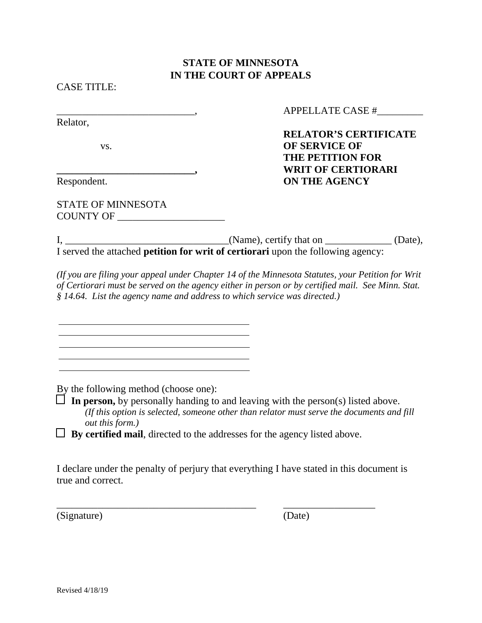CASE TITLE:

Relator,

STATE OF MINNESOTA COUNTY OF \_\_\_\_\_\_\_\_\_\_\_\_\_\_\_\_\_\_\_\_\_ APPELLATE CASE #

**RELATOR'S CERTIFICATE**  vs. **OF SERVICE OF THE PETITION FOR \_\_\_\_\_\_\_\_\_\_\_\_\_\_\_\_\_\_\_\_\_\_\_\_\_\_\_, WRIT OF CERTIORARI** Respondent. **ON THE AGENCY**

 $I, \_\_\_\_\_\_$ (Name), certify that on  $\_\_\_\_\_\_$ (Date), I served the attached **petition for writ of certiorari** upon the following agency:

*(If you are filing your appeal under Chapter 14 of the Minnesota Statutes, your Petition for Writ of Certiorari must be served on the agency either in person or by certified mail. See Minn. Stat. § 14.64. List the agency name and address to which service was directed.)*

By the following method (choose one):

 $\Box$  In person, by personally handing to and leaving with the person(s) listed above. *(If this option is selected, someone other than relator must serve the documents and fill out this form.)*

 $\Box$  **By certified mail**, directed to the addresses for the agency listed above.

I declare under the penalty of perjury that everything I have stated in this document is true and correct.

(Signature) (Date)

\_\_\_\_\_\_\_\_\_\_\_\_\_\_\_\_\_\_\_\_\_\_\_\_\_\_\_\_\_\_\_\_\_\_\_\_\_\_\_ \_\_\_\_\_\_\_\_\_\_\_\_\_\_\_\_\_\_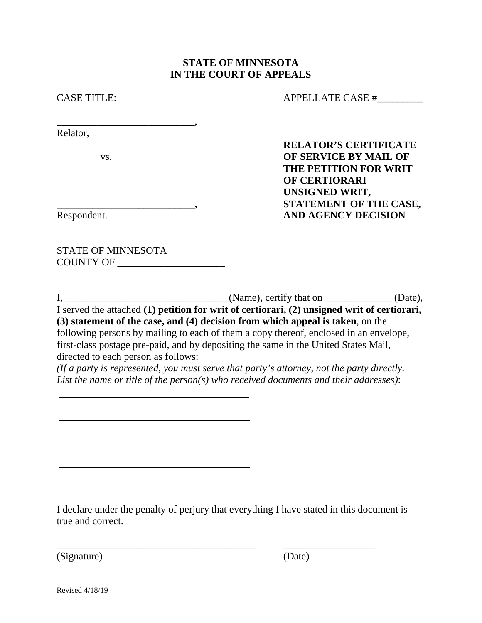CASE TITLE: APPELLATE CASE #

Relator,

**RELATOR'S CERTIFICATE**  vs. **OF SERVICE BY MAIL OF THE PETITION FOR WRIT OF CERTIORARI UNSIGNED WRIT, \_\_\_\_\_\_\_\_\_\_\_\_\_\_\_\_\_\_\_\_\_\_\_\_\_\_\_, STATEMENT OF THE CASE,** Respondent. **AND AGENCY DECISION**

STATE OF MINNESOTA COUNTY OF \_\_\_\_\_\_\_\_\_\_\_\_\_\_\_\_\_\_\_\_\_

\_\_\_\_\_\_\_\_\_\_\_\_\_\_\_\_\_\_\_\_\_\_\_\_\_\_\_,

I, \_\_\_\_\_\_\_\_\_\_\_\_\_\_\_\_\_\_\_\_\_\_\_\_\_\_\_\_\_\_\_\_\_\_\_(Name), certify that on \_\_\_\_\_\_\_\_\_\_\_\_\_\_(Date),

I served the attached **(1) petition for writ of certiorari, (2) unsigned writ of certiorari, (3) statement of the case, and (4) decision from which appeal is taken**, on the following persons by mailing to each of them a copy thereof, enclosed in an envelope, first-class postage pre-paid, and by depositing the same in the United States Mail, directed to each person as follows:

*(If a party is represented, you must serve that party's attorney, not the party directly. List the name or title of the person(s) who received documents and their addresses)*:

I declare under the penalty of perjury that everything I have stated in this document is true and correct.

\_\_\_\_\_\_\_\_\_\_\_\_\_\_\_\_\_\_\_\_\_\_\_\_\_\_\_\_\_\_\_\_\_\_\_\_\_\_\_ \_\_\_\_\_\_\_\_\_\_\_\_\_\_\_\_\_\_

(Signature) (Date)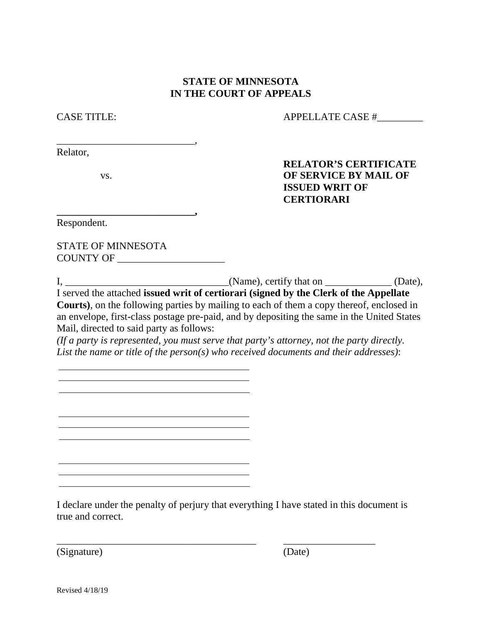CASE TITLE: APPELLATE CASE #\_\_\_\_\_\_\_\_\_

Relator,

\_\_\_\_\_\_\_\_\_\_\_\_\_\_\_\_\_\_\_\_\_\_\_\_\_\_\_,

**\_\_\_\_\_\_\_\_\_\_\_\_\_\_\_\_\_\_\_\_\_\_\_\_\_\_\_,**

<u> 1989 - Johann Barbara, martxa eta idazlea (h. 1989).</u>

**RELATOR'S CERTIFICATE**  vs. **OF SERVICE BY MAIL OF ISSUED WRIT OF CERTIORARI**

Respondent.

STATE OF MINNESOTA COUNTY OF \_\_\_\_\_\_\_\_\_\_\_\_\_\_\_\_\_\_\_\_\_

I, \_\_\_\_\_\_\_\_\_\_\_\_\_\_\_\_\_\_\_\_\_\_\_\_\_\_\_\_\_\_\_\_\_\_(Name), certify that on \_\_\_\_\_\_\_\_\_\_\_\_\_(Date), I served the attached **issued writ of certiorari (signed by the Clerk of the Appellate Courts)**, on the following parties by mailing to each of them a copy thereof, enclosed in an envelope, first-class postage pre-paid, and by depositing the same in the United States Mail, directed to said party as follows:

*(If a party is represented, you must serve that party's attorney, not the party directly. List the name or title of the person(s) who received documents and their addresses)*:

I declare under the penalty of perjury that everything I have stated in this document is true and correct.

\_\_\_\_\_\_\_\_\_\_\_\_\_\_\_\_\_\_\_\_\_\_\_\_\_\_\_\_\_\_\_\_\_\_\_\_\_\_\_ \_\_\_\_\_\_\_\_\_\_\_\_\_\_\_\_\_\_

(Signature) (Date)